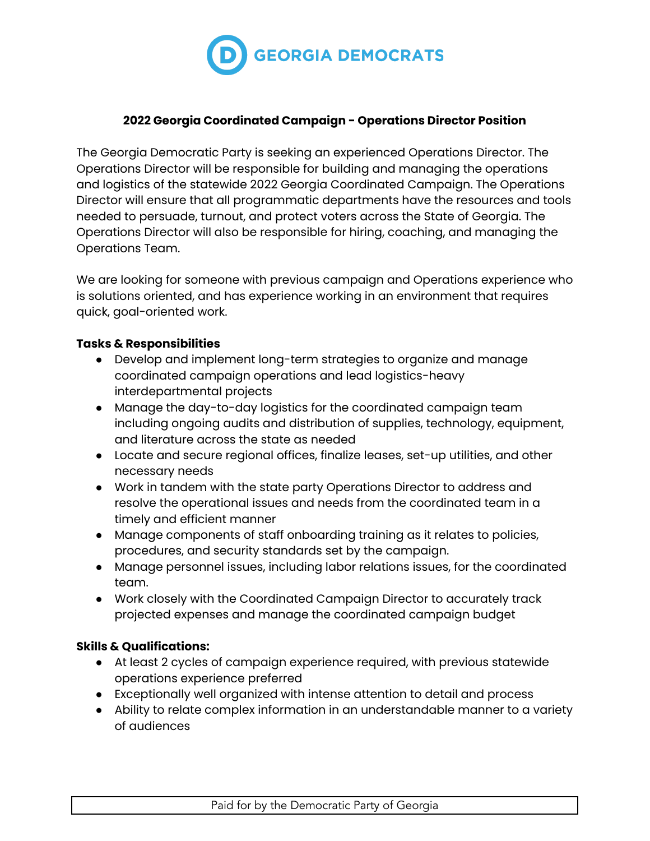

## **2022 Georgia Coordinated Campaign - Operations Director Position**

The Georgia Democratic Party is seeking an experienced Operations Director. The Operations Director will be responsible for building and managing the operations and logistics of the statewide 2022 Georgia Coordinated Campaign. The Operations Director will ensure that all programmatic departments have the resources and tools needed to persuade, turnout, and protect voters across the State of Georgia. The Operations Director will also be responsible for hiring, coaching, and managing the Operations Team.

We are looking for someone with previous campaign and Operations experience who is solutions oriented, and has experience working in an environment that requires quick, goal-oriented work.

## **Tasks & Responsibilities**

- Develop and implement long-term strategies to organize and manage coordinated campaign operations and lead logistics-heavy interdepartmental projects
- Manage the day-to-day logistics for the coordinated campaign team including ongoing audits and distribution of supplies, technology, equipment, and literature across the state as needed
- Locate and secure regional offices, finalize leases, set-up utilities, and other necessary needs
- Work in tandem with the state party Operations Director to address and resolve the operational issues and needs from the coordinated team in a timely and efficient manner
- Manage components of staff onboarding training as it relates to policies, procedures, and security standards set by the campaign.
- Manage personnel issues, including labor relations issues, for the coordinated team.
- Work closely with the Coordinated Campaign Director to accurately track projected expenses and manage the coordinated campaign budget

## **Skills & Qualifications:**

- At least 2 cycles of campaign experience required, with previous statewide operations experience preferred
- Exceptionally well organized with intense attention to detail and process
- Ability to relate complex information in an understandable manner to a variety of audiences